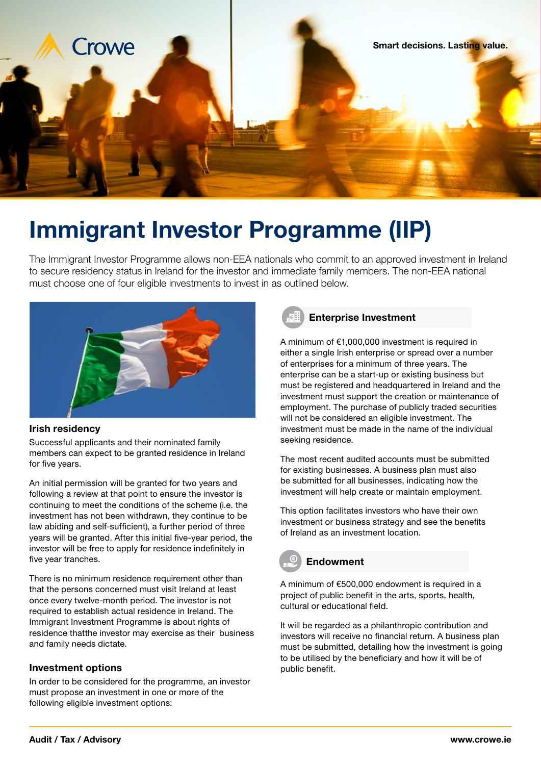

# Immigrant Investor Programme (IIP)

The Immigrant Investor Programme allows non-EEA nationals who commit to an approved investment in Ireland to secure residency status in Ireland for the investor and immediate family members. The non-EEA national must choose one of four eligible investments to invest in as outlined below.



#### Irish residency

Successful applicants and their nominated family members can expect to be granted residence in Ireland for five years.

An initial permission will be granted for two years and following a review at that point to ensure the investor is continuing to meet the conditions of the scheme (i.e. the investment has not been withdrawn, they continue to be law abiding and self-sufficient), a further period of three years will be granted. After this initial five-year period, the investor will be free to apply for residence indefinitely in five year tranches.

There is no minimum residence requirement other than that the persons concerned must visit Ireland at least once every twelve-month period. The investor is not required to establish actual residence in Ireland. The Immigrant Investment Programme is about rights of residence thatthe investor may exercise as their business and family needs dictate.

### Investment options

In order to be considered for the programme, an investor must propose an investment in one or more of the following eligible investment options:



### Enterprise Investment

A minimum of €1,000,000 investment is required in either a single Irish enterprise or spread over a number of enterprises for a minimum of three years. The enterprise can be a start-up or existing business but must be registered and headquartered in Ireland and the investment must support the creation or maintenance of employment. The purchase of publicly traded securities will not be considered an eligible investment. The investment must be made in the name of the individual seeking residence.

The most recent audited accounts must be submitted for existing businesses. A business plan must also be submitted for all businesses, indicating how the investment will help create or maintain employment.

This option facilitates investors who have their own investment or business strategy and see the benefits of Ireland as an investment location.

# Endowment

A minimum of €500,000 endowment is required in a project of public benefit in the arts, sports, health, cultural or educational field.

It will be regarded as a philanthropic contribution and investors will receive no financial return. A business plan must be submitted, detailing how the investment is going to be utilised by the beneficiary and how it will be of public benefit.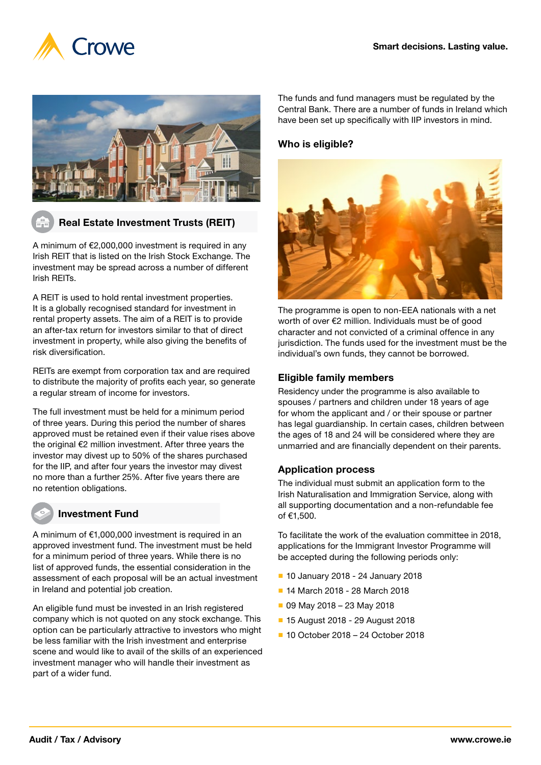



## Real Estate Investment Trusts (REIT)

A minimum of €2,000,000 investment is required in any Irish REIT that is listed on the Irish Stock Exchange. The investment may be spread across a number of different Irish REITs.

A REIT is used to hold rental investment properties. It is a globally recognised standard for investment in rental property assets. The aim of a REIT is to provide an after-tax return for investors similar to that of direct investment in property, while also giving the benefits of risk diversification.

REITs are exempt from corporation tax and are required to distribute the majority of profits each year, so generate a regular stream of income for investors.

The full investment must be held for a minimum period of three years. During this period the number of shares approved must be retained even if their value rises above the original €2 million investment. After three years the investor may divest up to 50% of the shares purchased for the IIP, and after four years the investor may divest no more than a further 25%. After five years there are no retention obligations.

### Investment Fund

A minimum of €1,000,000 investment is required in an approved investment fund. The investment must be held for a minimum period of three years. While there is no list of approved funds, the essential consideration in the assessment of each proposal will be an actual investment in Ireland and potential job creation.

An eligible fund must be invested in an Irish registered company which is not quoted on any stock exchange. This option can be particularly attractive to investors who might be less familiar with the Irish investment and enterprise scene and would like to avail of the skills of an experienced investment manager who will handle their investment as part of a wider fund.

The funds and fund managers must be regulated by the Central Bank. There are a number of funds in Ireland which have been set up specifically with IIP investors in mind.

#### Who is eligible?



The programme is open to non-EEA nationals with a net worth of over €2 million. Individuals must be of good character and not convicted of a criminal offence in any jurisdiction. The funds used for the investment must be the individual's own funds, they cannot be borrowed.

## Eligible family members

Residency under the programme is also available to spouses / partners and children under 18 years of age for whom the applicant and / or their spouse or partner has legal guardianship. In certain cases, children between the ages of 18 and 24 will be considered where they are unmarried and are financially dependent on their parents.

### Application process

The individual must submit an application form to the Irish Naturalisation and Immigration Service, along with all supporting documentation and a non-refundable fee of €1,500.

To facilitate the work of the evaluation committee in 2018, applications for the Immigrant Investor Programme will be accepted during the following periods only:

- 10 January 2018 24 January 2018
- 14 March 2018 28 March 2018
- 09 May 2018 23 May 2018
- 15 August 2018 29 August 2018
- 10 October 2018 24 October 2018